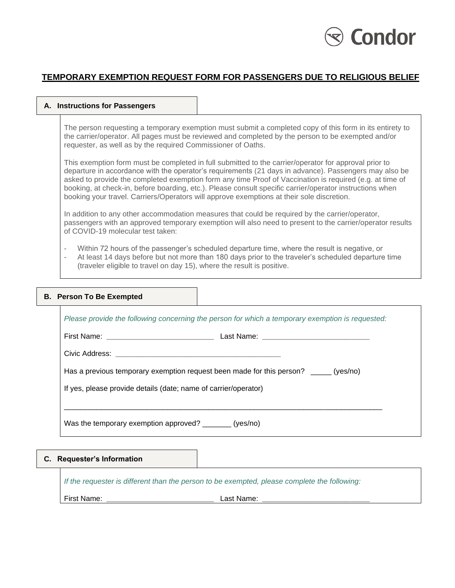# Condor

# **TEMPORARY EXEMPTION REQUEST FORM FOR PASSENGERS DUE TO RELIGIOUS BELIEF**

#### **A. Instructions for Passengers**

The person requesting a temporary exemption must submit a completed copy of this form in its entirety to the carrier/operator. All pages must be reviewed and completed by the person to be exempted and/or requester, as well as by the required Commissioner of Oaths.

This exemption form must be completed in full submitted to the carrier/operator for approval prior to departure in accordance with the operator's requirements (21 days in advance). Passengers may also be asked to provide the completed exemption form any time Proof of Vaccination is required (e.g. at time of booking, at check-in, before boarding, etc.). Please consult specific carrier/operator instructions when booking your travel. Carriers/Operators will approve exemptions at their sole discretion.

In addition to any other accommodation measures that could be required by the carrier/operator, passengers with an approved temporary exemption will also need to present to the carrier/operator results of COVID-19 molecular test taken:

- Within 72 hours of the passenger's scheduled departure time, where the result is negative, or
	- At least 14 days before but not more than 180 days prior to the traveler's scheduled departure time (traveler eligible to travel on day 15), where the result is positive.

## **B. Person To Be Exempted**

| Please provide the following concerning the person for which a temporary exemption is requested: |  |  |  |  |
|--------------------------------------------------------------------------------------------------|--|--|--|--|
| First Name: <u>________________________________</u>                                              |  |  |  |  |
|                                                                                                  |  |  |  |  |
| Has a previous temporary exemption request been made for this person? _____ (yes/no)             |  |  |  |  |
| If yes, please provide details (date; name of carrier/operator)                                  |  |  |  |  |
|                                                                                                  |  |  |  |  |
| Was the temporary exemption approved? ________ (yes/no)                                          |  |  |  |  |

## **C. Requester's Information**

*If the requester is different than the person to be exempted, please complete the following:*

First Name: **\_\_\_\_\_\_\_\_\_\_\_\_\_\_\_\_\_\_\_\_\_\_\_\_\_\_** Last Name: **\_\_\_\_\_\_\_\_\_\_\_\_\_\_\_\_\_\_\_\_\_\_\_\_\_\_**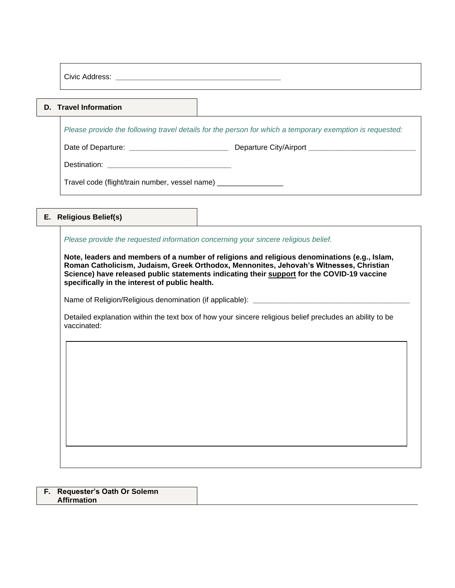Civic Address: **\_\_\_\_\_\_\_\_\_\_\_\_\_\_\_\_\_\_\_\_\_\_\_\_\_\_\_\_\_\_\_\_\_\_\_\_\_\_\_\_**

#### **D. Travel Information**

*Please provide the following travel details for the person for which a temporary exemption is requested:*

Date of Departure: **\_\_\_\_\_\_\_\_\_\_\_\_\_\_\_\_\_\_\_\_\_\_\_\_** Departure City/Airport **\_\_\_\_\_\_\_\_\_\_\_\_\_\_\_\_\_\_\_\_\_\_\_\_\_\_**

Destination: **\_\_\_\_\_\_\_\_\_\_\_\_\_\_\_\_\_\_\_\_\_\_\_\_\_\_\_\_\_\_** 

Travel code (flight/train number, vessel name) \_\_\_\_\_\_\_\_\_\_\_\_\_\_\_\_\_\_\_

## **E. Religious Belief(s)**

*Please provide the requested information concerning your sincere religious belief.* 

**Note, leaders and members of a number of religions and religious denominations (e.g., [Islam,](https://can01.safelinks.protection.outlook.com/?url=https%3A%2F%2Fwww.amjaonline.org%2Ffatwa%2Fen%2F87763%2Fthe-ruling-on-getting-the-covid-19-coronavirus-vaccine&data=04%7C01%7Calain.langlois%40tc.gc.ca%7C66d8fb1e56b345521a9b08d987f90937%7C2008ffa9c9b24d979ad94ace25386be7%7C0%7C0%7C637690325929790274%7CUnknown%7CTWFpbGZsb3d8eyJWIjoiMC4wLjAwMDAiLCJQIjoiV2luMzIiLCJBTiI6Ik1haWwiLCJXVCI6Mn0%3D%7C1000&sdata=mhYsQ3QEsVJhYqg684s8rM6Nz0WQIoV99RDTRqAUBjE%3D&reserved=0) [Roman Catholicism,](https://can01.safelinks.protection.outlook.com/?url=https%3A%2F%2Fyoutu.be%2FJWf3Ji11EaU&data=04%7C01%7Calain.langlois%40tc.gc.ca%7C66d8fb1e56b345521a9b08d987f90937%7C2008ffa9c9b24d979ad94ace25386be7%7C0%7C0%7C637690325929790274%7CUnknown%7CTWFpbGZsb3d8eyJWIjoiMC4wLjAwMDAiLCJQIjoiV2luMzIiLCJBTiI6Ik1haWwiLCJXVCI6Mn0%3D%7C1000&sdata=LymXTMmzeI35jqET5bt7viOJYubG9M%2F8X%2F8ebwui6YM%3D&reserved=0) [Judaism,](https://can01.safelinks.protection.outlook.com/?url=https%3A%2F%2Furj.org%2Fwhat-we-believe%2Fresolutions%2Fresolution-mandatory-immunization-laws&data=04%7C01%7Calain.langlois%40tc.gc.ca%7C66d8fb1e56b345521a9b08d987f90937%7C2008ffa9c9b24d979ad94ace25386be7%7C0%7C0%7C637690325929800269%7CUnknown%7CTWFpbGZsb3d8eyJWIjoiMC4wLjAwMDAiLCJQIjoiV2luMzIiLCJBTiI6Ik1haWwiLCJXVCI6Mn0%3D%7C1000&sdata=VIInHwFbRJlBxB66xQXfVkinhlnD9xGwbe977RisxAQ%3D&reserved=0) [Greek Orthodox,](https://can01.safelinks.protection.outlook.com/?url=https%3A%2F%2Fgoarchdiocese.ca%2Fcovid-19-vaccine-pop-up-clinic%2F&data=04%7C01%7Calain.langlois%40tc.gc.ca%7C66d8fb1e56b345521a9b08d987f90937%7C2008ffa9c9b24d979ad94ace25386be7%7C0%7C0%7C637690325929800269%7CUnknown%7CTWFpbGZsb3d8eyJWIjoiMC4wLjAwMDAiLCJQIjoiV2luMzIiLCJBTiI6Ik1haWwiLCJXVCI6Mn0%3D%7C1000&sdata=ye3o6TJSKunZrPksfYqS5uNV41%2BofNyaTr04UFdHV98%3D&reserved=0) [Mennonites,](https://can01.safelinks.protection.outlook.com/?url=https%3A%2F%2Fcanadianmennonite.org%2Fnoexemptions&data=04%7C01%7Calain.langlois%40tc.gc.ca%7C66d8fb1e56b345521a9b08d987f90937%7C2008ffa9c9b24d979ad94ace25386be7%7C0%7C0%7C637690325929810267%7CUnknown%7CTWFpbGZsb3d8eyJWIjoiMC4wLjAwMDAiLCJQIjoiV2luMzIiLCJBTiI6Ik1haWwiLCJXVCI6Mn0%3D%7C1000&sdata=mZ0MQwb%2FOs2yJm3ZjRZ%2BJJxwT1XQsFI6p8Igv9imBug%3D&reserved=0) [Jehovah's Witnesses,](https://can01.safelinks.protection.outlook.com/?url=https%3A%2F%2Fwww.jw.org%2Fen%2Fnews%2Fjw%2Fregion%2Fglobal%2F2021-Governing-Body-Update-8%2F&data=04%7C01%7Calain.langlois%40tc.gc.ca%7C66d8fb1e56b345521a9b08d987f90937%7C2008ffa9c9b24d979ad94ace25386be7%7C0%7C0%7C637690325929810267%7CUnknown%7CTWFpbGZsb3d8eyJWIjoiMC4wLjAwMDAiLCJQIjoiV2luMzIiLCJBTiI6Ik1haWwiLCJXVCI6Mn0%3D%7C1000&sdata=3KEUTugCCVIGVHdvbycxsi7y%2FZtHnIeBrj3S9seWrjc%3D&reserved=0) [Christian](https://can01.safelinks.protection.outlook.com/?url=https%3A%2F%2Fwww.csmonitor.com%2FCommentary%2FA-Christian-Science-Perspective%2F2021%2F0128%2FVaccines-immunity-and-the-pathway-to-health&data=04%7C01%7Calain.langlois%40tc.gc.ca%7C66d8fb1e56b345521a9b08d987f90937%7C2008ffa9c9b24d979ad94ace25386be7%7C0%7C0%7C637690325929820254%7CUnknown%7CTWFpbGZsb3d8eyJWIjoiMC4wLjAwMDAiLCJQIjoiV2luMzIiLCJBTiI6Ik1haWwiLCJXVCI6Mn0%3D%7C1000&sdata=U7FB5z1lvztcvrQZxpSpFaUl2br2apOtupP1IWXW8fA%3D&reserved=0)  [Science\)](https://can01.safelinks.protection.outlook.com/?url=https%3A%2F%2Fwww.csmonitor.com%2FCommentary%2FA-Christian-Science-Perspective%2F2021%2F0128%2FVaccines-immunity-and-the-pathway-to-health&data=04%7C01%7Calain.langlois%40tc.gc.ca%7C66d8fb1e56b345521a9b08d987f90937%7C2008ffa9c9b24d979ad94ace25386be7%7C0%7C0%7C637690325929820254%7CUnknown%7CTWFpbGZsb3d8eyJWIjoiMC4wLjAwMDAiLCJQIjoiV2luMzIiLCJBTiI6Ik1haWwiLCJXVCI6Mn0%3D%7C1000&sdata=U7FB5z1lvztcvrQZxpSpFaUl2br2apOtupP1IWXW8fA%3D&reserved=0) have released public statements indicating their support for the COVID-19 vaccine specifically in the interest of public health.**

Name of Religion/Religious denomination (if applicable): *\_\_\_\_\_\_\_\_\_\_\_\_\_\_\_\_\_\_\_\_\_\_***\_\_\_\_\_\_\_** 

Detailed explanation within the text box of how your sincere religious belief precludes an ability to be vaccinated:

#### **F. Requester's Oath Or Solemn Affirmation**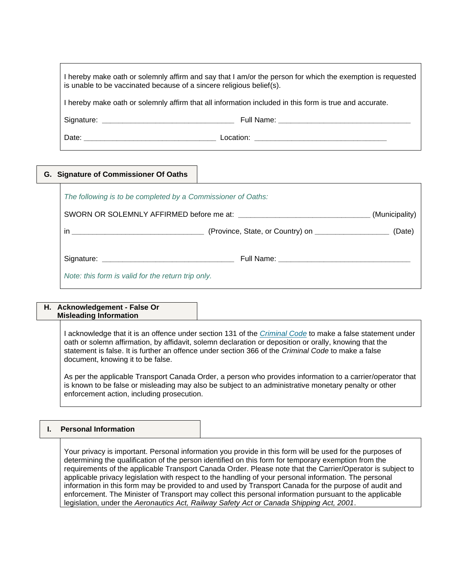| I hereby make oath or solemnly affirm and say that I am/or the person for which the exemption is requested<br>is unable to be vaccinated because of a sincere religious belief(s). |
|------------------------------------------------------------------------------------------------------------------------------------------------------------------------------------|
| I hereby make oath or solemnly affirm that all information included in this form is true and accurate.                                                                             |

Signature: **\_\_\_\_\_\_\_\_\_\_\_\_\_\_\_\_\_\_\_\_\_\_\_\_\_\_\_\_\_\_\_\_** Full Name: **\_\_\_\_\_\_\_\_\_\_\_\_\_\_\_\_\_\_\_\_\_\_\_\_\_\_\_\_\_\_\_\_**

Date: **\_\_\_\_\_\_\_\_\_\_\_\_\_\_\_\_\_\_\_\_\_\_\_\_\_\_\_\_\_\_\_\_** Location: **\_\_\_\_\_\_\_\_\_\_\_\_\_\_\_\_\_\_\_\_\_\_\_\_\_\_\_\_\_\_\_\_**

## **G. Signature of Commissioner Of Oaths**

| The following is to be completed by a Commissioner of Oaths: |                                                                    |                |
|--------------------------------------------------------------|--------------------------------------------------------------------|----------------|
|                                                              |                                                                    | (Municipality) |
|                                                              | (Province, State, or Country) on __________________________ (Date) |                |
|                                                              |                                                                    |                |
| Note: this form is valid for the return trip only.           |                                                                    |                |

#### **H. Acknowledgement - False Or Misleading Information**

I acknowledge that it is an offence under section 131 of the *[Criminal Code](https://laws-lois.justice.gc.ca/eng/acts/c-46/)* to make a false statement under oath or solemn affirmation, by affidavit, solemn declaration or deposition or orally, knowing that the statement is false. It is further an offence under section 366 of the *Criminal Code* to make a false document, knowing it to be false.

As per the applicable Transport Canada Order, a person who provides information to a carrier/operator that is known to be false or misleading may also be subject to an administrative monetary penalty or other enforcement action, including prosecution.

## **I. Personal Information**

Your privacy is important. Personal information you provide in this form will be used for the purposes of determining the qualification of the person identified on this form for temporary exemption from the requirements of the applicable Transport Canada Order. Please note that the Carrier/Operator is subject to applicable privacy legislation with respect to the handling of your personal information. The personal information in this form may be provided to and used by Transport Canada for the purpose of audit and enforcement. The Minister of Transport may collect this personal information pursuant to the applicable legislation, under the *Aeronautics Act, Railway Safety Act or Canada Shipping Act, 2001*.